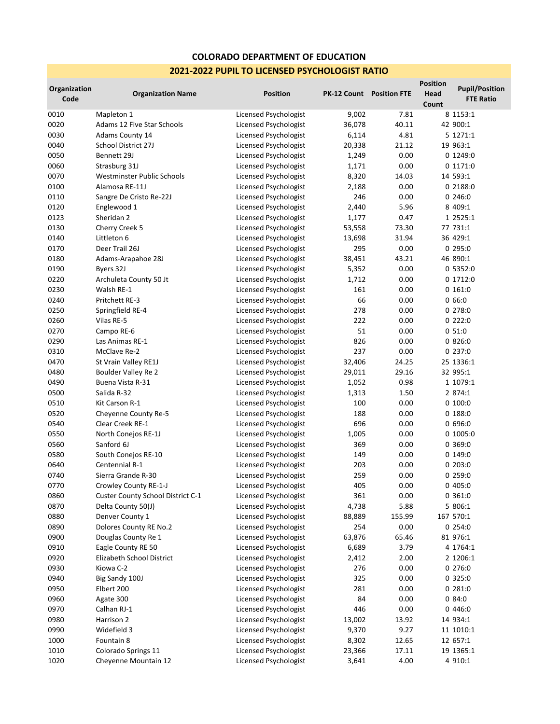## **COLORADO DEPARTMENT OF EDUCATION 2021-2022 PUPIL TO LICENSED PSYCHOLOGIST RATIO**

| Organization<br>Code | <b>Organization Name</b>          | <b>Position</b>       | <b>PK-12 Count</b> Position FTE |        | <b>Position</b><br>Head<br>Count | <b>Pupil/Position</b><br><b>FTE Ratio</b> |
|----------------------|-----------------------------------|-----------------------|---------------------------------|--------|----------------------------------|-------------------------------------------|
| 0010                 | Mapleton 1                        | Licensed Psychologist | 9,002                           | 7.81   |                                  | 8 1153:1                                  |
| 0020                 | Adams 12 Five Star Schools        | Licensed Psychologist | 36,078                          | 40.11  |                                  | 42 900:1                                  |
| 0030                 | Adams County 14                   | Licensed Psychologist | 6,114                           | 4.81   |                                  | 5 1271:1                                  |
| 0040                 | School District 27J               | Licensed Psychologist | 20,338                          | 21.12  |                                  | 19 963:1                                  |
| 0050                 | Bennett 29J                       | Licensed Psychologist | 1,249                           | 0.00   |                                  | 0 1249:0                                  |
| 0060                 | Strasburg 31J                     | Licensed Psychologist | 1,171                           | 0.00   |                                  | 0 1171:0                                  |
| 0070                 | Westminster Public Schools        | Licensed Psychologist | 8,320                           | 14.03  |                                  | 14 593:1                                  |
| 0100                 | Alamosa RE-11J                    | Licensed Psychologist | 2,188                           | 0.00   |                                  | 0 2188:0                                  |
| 0110                 | Sangre De Cristo Re-22J           | Licensed Psychologist | 246                             | 0.00   |                                  | 0246:0                                    |
| 0120                 | Englewood 1                       | Licensed Psychologist | 2,440                           | 5.96   |                                  | 8 409:1                                   |
| 0123                 | Sheridan 2                        | Licensed Psychologist | 1,177                           | 0.47   |                                  | 1 2525:1                                  |
| 0130                 | Cherry Creek 5                    | Licensed Psychologist | 53,558                          | 73.30  |                                  | 77 731:1                                  |
| 0140                 | Littleton 6                       | Licensed Psychologist | 13,698                          | 31.94  |                                  | 36 429:1                                  |
| 0170                 | Deer Trail 26J                    | Licensed Psychologist | 295                             | 0.00   |                                  | 0295:0                                    |
| 0180                 | Adams-Arapahoe 28J                | Licensed Psychologist | 38,451                          | 43.21  |                                  | 46 890:1                                  |
| 0190                 | Byers 32J                         | Licensed Psychologist | 5,352                           | 0.00   |                                  | 0 5352:0                                  |
| 0220                 | Archuleta County 50 Jt            | Licensed Psychologist | 1,712                           | 0.00   |                                  | 0 1712:0                                  |
| 0230                 | Walsh RE-1                        | Licensed Psychologist | 161                             | 0.00   |                                  | 0 161:0                                   |
| 0240                 | Pritchett RE-3                    | Licensed Psychologist | 66                              | 0.00   |                                  | 0.66:0                                    |
| 0250                 | Springfield RE-4                  | Licensed Psychologist | 278                             | 0.00   |                                  | 0278:0                                    |
| 0260                 | Vilas RE-5                        | Licensed Psychologist | 222                             | 0.00   |                                  | 0222:0                                    |
| 0270                 | Campo RE-6                        | Licensed Psychologist | 51                              | 0.00   |                                  | 051:0                                     |
| 0290                 | Las Animas RE-1                   | Licensed Psychologist | 826                             | 0.00   |                                  | 0826:0                                    |
| 0310                 | McClave Re-2                      | Licensed Psychologist | 237                             | 0.00   |                                  | 0237:0                                    |
| 0470                 | St Vrain Valley RE1J              | Licensed Psychologist | 32,406                          | 24.25  |                                  | 25 1336:1                                 |
| 0480                 | Boulder Valley Re 2               | Licensed Psychologist | 29,011                          | 29.16  |                                  | 32 995:1                                  |
| 0490                 | Buena Vista R-31                  | Licensed Psychologist | 1,052                           | 0.98   |                                  | 1 1079:1                                  |
| 0500                 | Salida R-32                       | Licensed Psychologist | 1,313                           | 1.50   |                                  | 2 874:1                                   |
| 0510                 | Kit Carson R-1                    | Licensed Psychologist | 100                             | 0.00   |                                  | 0 100:0                                   |
| 0520                 | Cheyenne County Re-5              | Licensed Psychologist | 188                             | 0.00   |                                  | 0 188:0                                   |
| 0540                 | Clear Creek RE-1                  | Licensed Psychologist | 696                             | 0.00   |                                  | 0696:0                                    |
| 0550                 | North Conejos RE-1J               | Licensed Psychologist | 1,005                           | 0.00   |                                  | 0 1005:0                                  |
| 0560                 | Sanford 6J                        | Licensed Psychologist | 369                             | 0.00   |                                  | 0 369:0                                   |
| 0580                 | South Conejos RE-10               | Licensed Psychologist | 149                             | 0.00   |                                  | 0 149:0                                   |
| 0640                 | Centennial R-1                    | Licensed Psychologist | 203                             | 0.00   |                                  | 0203:0                                    |
| 0740                 | Sierra Grande R-30                | Licensed Psychologist | 259                             | 0.00   |                                  | 0259:0                                    |
| 0770                 | Crowley County RE-1-J             | Licensed Psychologist | 405                             | 0.00   |                                  | 0405:0                                    |
| 0860                 | Custer County School District C-1 | Licensed Psychologist | 361                             | 0.00   |                                  | 0 361:0                                   |
| 0870                 | Delta County 50(J)                | Licensed Psychologist | 4,738                           | 5.88   |                                  | 5 806:1                                   |
| 0880                 | Denver County 1                   | Licensed Psychologist | 88,889                          | 155.99 |                                  | 167 570:1                                 |
| 0890                 | Dolores County RE No.2            | Licensed Psychologist | 254                             | 0.00   |                                  | 0254:0                                    |
| 0900                 | Douglas County Re 1               | Licensed Psychologist | 63,876                          | 65.46  |                                  | 81 976:1                                  |
| 0910                 | Eagle County RE 50                | Licensed Psychologist | 6,689                           | 3.79   |                                  | 4 1764:1                                  |
| 0920                 | Elizabeth School District         | Licensed Psychologist | 2,412                           | 2.00   |                                  | 2 1206:1                                  |
| 0930                 | Kiowa C-2                         | Licensed Psychologist | 276                             | 0.00   |                                  | 0 276:0                                   |
| 0940                 | Big Sandy 100J                    | Licensed Psychologist | 325                             | 0.00   |                                  | 0325:0                                    |
| 0950                 | Elbert 200                        | Licensed Psychologist | 281                             | 0.00   |                                  | 0281:0                                    |
| 0960                 | Agate 300                         | Licensed Psychologist | 84                              | 0.00   |                                  | 0.84:0                                    |
| 0970                 | Calhan RJ-1                       | Licensed Psychologist | 446                             | 0.00   |                                  | 0446:0                                    |
| 0980                 | Harrison 2                        | Licensed Psychologist | 13,002                          | 13.92  |                                  | 14 934:1                                  |
| 0990                 | Widefield 3                       | Licensed Psychologist | 9,370                           | 9.27   |                                  | 11 1010:1                                 |
| 1000                 | Fountain 8                        | Licensed Psychologist | 8,302                           | 12.65  |                                  | 12 657:1                                  |
| 1010                 | Colorado Springs 11               | Licensed Psychologist | 23,366                          | 17.11  |                                  | 19 1365:1                                 |
| 1020                 | Cheyenne Mountain 12              | Licensed Psychologist | 3,641                           | 4.00   |                                  | 4 910:1                                   |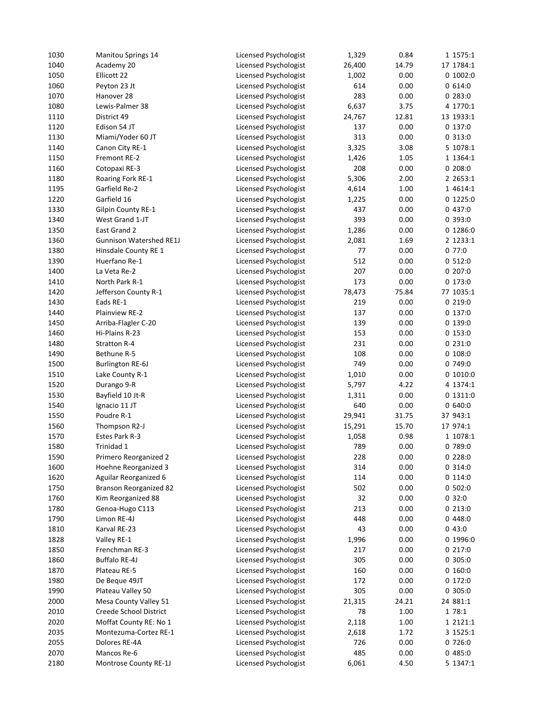| 1030 | <b>Manitou Springs 14</b>      | Licensed Psychologist | 1,329  | 0.84  | 1 1575:1  |
|------|--------------------------------|-----------------------|--------|-------|-----------|
| 1040 | Academy 20                     | Licensed Psychologist | 26,400 | 14.79 | 17 1784:1 |
| 1050 | Ellicott 22                    | Licensed Psychologist | 1,002  | 0.00  | 0 1002:0  |
| 1060 | Peyton 23 Jt                   | Licensed Psychologist | 614    | 0.00  | 0 614:0   |
| 1070 | Hanover 28                     | Licensed Psychologist | 283    | 0.00  | 0283:0    |
| 1080 | Lewis-Palmer 38                | Licensed Psychologist | 6,637  | 3.75  | 4 1770:1  |
| 1110 | District 49                    | Licensed Psychologist | 24,767 | 12.81 | 13 1933:1 |
| 1120 | Edison 54 JT                   | Licensed Psychologist | 137    | 0.00  | 0 137:0   |
| 1130 | Miami/Yoder 60 JT              | Licensed Psychologist | 313    | 0.00  | 0313:0    |
| 1140 | Canon City RE-1                | Licensed Psychologist | 3,325  | 3.08  | 5 1078:1  |
| 1150 | Fremont RE-2                   | Licensed Psychologist | 1,426  | 1.05  | 1 1364:1  |
| 1160 | Cotopaxi RE-3                  | Licensed Psychologist | 208    | 0.00  | 0208:0    |
| 1180 | Roaring Fork RE-1              | Licensed Psychologist | 5,306  | 2.00  | 2 2653:1  |
| 1195 | Garfield Re-2                  | Licensed Psychologist | 4,614  | 1.00  | 1 4614:1  |
| 1220 | Garfield 16                    | Licensed Psychologist | 1,225  | 0.00  | 0 1225:0  |
| 1330 | <b>Gilpin County RE-1</b>      | Licensed Psychologist | 437    | 0.00  | 0 437:0   |
| 1340 | West Grand 1-JT                | Licensed Psychologist | 393    | 0.00  | 0 393:0   |
| 1350 | East Grand 2                   | Licensed Psychologist | 1,286  | 0.00  | 0 1286:0  |
| 1360 | <b>Gunnison Watershed RE1J</b> | Licensed Psychologist | 2,081  | 1.69  | 2 1233:1  |
|      |                                |                       |        |       |           |
| 1380 | Hinsdale County RE 1           | Licensed Psychologist | 77     | 0.00  | 077:0     |
| 1390 | Huerfano Re-1                  | Licensed Psychologist | 512    | 0.00  | 0512:0    |
| 1400 | La Veta Re-2                   | Licensed Psychologist | 207    | 0.00  | 0 207:0   |
| 1410 | North Park R-1                 | Licensed Psychologist | 173    | 0.00  | 0 173:0   |
| 1420 | Jefferson County R-1           | Licensed Psychologist | 78,473 | 75.84 | 77 1035:1 |
| 1430 | Eads RE-1                      | Licensed Psychologist | 219    | 0.00  | 0219:0    |
| 1440 | Plainview RE-2                 | Licensed Psychologist | 137    | 0.00  | 0137:0    |
| 1450 | Arriba-Flagler C-20            | Licensed Psychologist | 139    | 0.00  | 0 139:0   |
| 1460 | Hi-Plains R-23                 | Licensed Psychologist | 153    | 0.00  | 0 153:0   |
| 1480 | Stratton R-4                   | Licensed Psychologist | 231    | 0.00  | 0 231:0   |
| 1490 | Bethune R-5                    | Licensed Psychologist | 108    | 0.00  | 0 108:0   |
| 1500 | Burlington RE-6J               | Licensed Psychologist | 749    | 0.00  | 0 749:0   |
| 1510 | Lake County R-1                | Licensed Psychologist | 1,010  | 0.00  | 0 1010:0  |
| 1520 | Durango 9-R                    | Licensed Psychologist | 5,797  | 4.22  | 4 1374:1  |
| 1530 | Bayfield 10 Jt-R               | Licensed Psychologist | 1,311  | 0.00  | 0 1311:0  |
| 1540 | Ignacio 11 JT                  | Licensed Psychologist | 640    | 0.00  | 0640:0    |
| 1550 | Poudre R-1                     | Licensed Psychologist | 29,941 | 31.75 | 37 943:1  |
| 1560 | Thompson R2-J                  | Licensed Psychologist | 15,291 | 15.70 | 17 974:1  |
| 1570 | Estes Park R-3                 | Licensed Psychologist | 1,058  | 0.98  | 1 1078:1  |
| 1580 | Trinidad 1                     | Licensed Psychologist | 789    | 0.00  | 0 789:0   |
| 1590 | Primero Reorganized 2          | Licensed Psychologist | 228    | 0.00  | 0228:0    |
| 1600 | Hoehne Reorganized 3           | Licensed Psychologist | 314    | 0.00  | 0 314:0   |
| 1620 | Aguilar Reorganized 6          | Licensed Psychologist | 114    | 0.00  | 0114:0    |
| 1750 | <b>Branson Reorganized 82</b>  | Licensed Psychologist | 502    | 0.00  | 0 502:0   |
| 1760 | Kim Reorganized 88             | Licensed Psychologist | 32     | 0.00  | 0.32:0    |
| 1780 | Genoa-Hugo C113                | Licensed Psychologist | 213    | 0.00  | 0 213:0   |
| 1790 | Limon RE-4J                    | Licensed Psychologist | 448    | 0.00  | 0448:0    |
| 1810 | Karval RE-23                   | Licensed Psychologist | 43     | 0.00  | 043:0     |
| 1828 | Valley RE-1                    | Licensed Psychologist | 1,996  | 0.00  | 0 1996:0  |
| 1850 | Frenchman RE-3                 | Licensed Psychologist | 217    | 0.00  | 0 217:0   |
| 1860 | Buffalo RE-4J                  | Licensed Psychologist | 305    | 0.00  | 0 305:0   |
| 1870 | Plateau RE-5                   | Licensed Psychologist | 160    | 0.00  | 0 160:0   |
| 1980 | De Beque 49JT                  | Licensed Psychologist | 172    | 0.00  | 0 172:0   |
| 1990 | Plateau Valley 50              | Licensed Psychologist | 305    | 0.00  | 0 305:0   |
| 2000 | Mesa County Valley 51          | Licensed Psychologist | 21,315 | 24.21 | 24 881:1  |
| 2010 | Creede School District         | Licensed Psychologist | 78     | 1.00  | 1 78:1    |
|      |                                |                       |        |       |           |
| 2020 | Moffat County RE: No 1         | Licensed Psychologist | 2,118  | 1.00  | 1 2121:1  |
| 2035 | Montezuma-Cortez RE-1          | Licensed Psychologist | 2,618  | 1.72  | 3 1525:1  |
| 2055 | Dolores RE-4A                  | Licensed Psychologist | 726    | 0.00  | 0 726:0   |
| 2070 | Mancos Re-6                    | Licensed Psychologist | 485    | 0.00  | 0485:0    |
| 2180 | Montrose County RE-1J          | Licensed Psychologist | 6,061  | 4.50  | 5 1347:1  |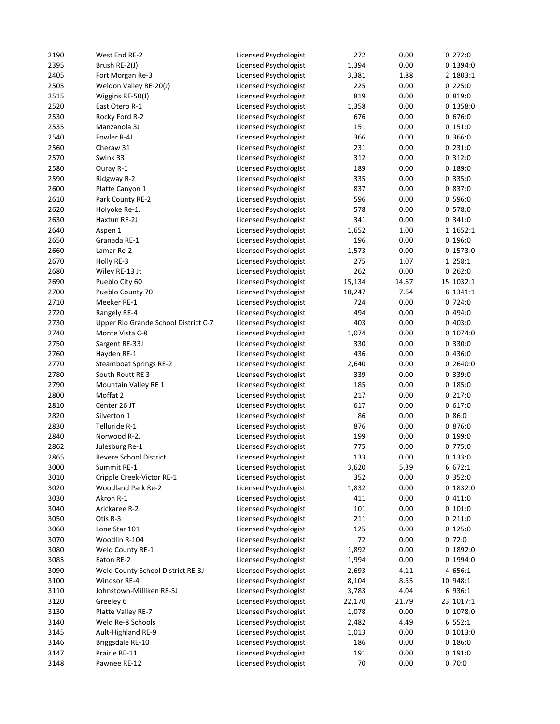| 2190 | West End RE-2                        | Licensed Psychologist | 272    | 0.00  | 0272:0    |
|------|--------------------------------------|-----------------------|--------|-------|-----------|
| 2395 | Brush RE-2(J)                        | Licensed Psychologist | 1,394  | 0.00  | 0 1394:0  |
| 2405 | Fort Morgan Re-3                     | Licensed Psychologist | 3,381  | 1.88  | 2 1803:1  |
| 2505 | Weldon Valley RE-20(J)               | Licensed Psychologist | 225    | 0.00  | 0225:0    |
| 2515 | Wiggins RE-50(J)                     | Licensed Psychologist | 819    | 0.00  | 0.819:0   |
| 2520 | East Otero R-1                       | Licensed Psychologist | 1,358  | 0.00  | 0 1358:0  |
| 2530 | Rocky Ford R-2                       | Licensed Psychologist | 676    | 0.00  | 0 676:0   |
| 2535 | Manzanola 3J                         | Licensed Psychologist | 151    | 0.00  | 0151:0    |
| 2540 | Fowler R-4J                          | Licensed Psychologist | 366    | 0.00  | 0 366:0   |
| 2560 | Cheraw 31                            | Licensed Psychologist | 231    | 0.00  | 0231:0    |
| 2570 | Swink 33                             | Licensed Psychologist | 312    | 0.00  | 0312:0    |
| 2580 | Ouray R-1                            | Licensed Psychologist | 189    | 0.00  | 0 189:0   |
| 2590 |                                      |                       | 335    | 0.00  | 0 335:0   |
|      | Ridgway R-2                          | Licensed Psychologist |        |       |           |
| 2600 | Platte Canyon 1                      | Licensed Psychologist | 837    | 0.00  | 0 837:0   |
| 2610 | Park County RE-2                     | Licensed Psychologist | 596    | 0.00  | 0 596:0   |
| 2620 | Holyoke Re-1J                        | Licensed Psychologist | 578    | 0.00  | 0 578:0   |
| 2630 | Haxtun RE-2J                         | Licensed Psychologist | 341    | 0.00  | 0341:0    |
| 2640 | Aspen 1                              | Licensed Psychologist | 1,652  | 1.00  | 1 1652:1  |
| 2650 | Granada RE-1                         | Licensed Psychologist | 196    | 0.00  | 0.196:0   |
| 2660 | Lamar Re-2                           | Licensed Psychologist | 1,573  | 0.00  | 0 1573:0  |
| 2670 | Holly RE-3                           | Licensed Psychologist | 275    | 1.07  | 1 258:1   |
| 2680 | Wiley RE-13 Jt                       | Licensed Psychologist | 262    | 0.00  | 0.262:0   |
| 2690 | Pueblo City 60                       | Licensed Psychologist | 15,134 | 14.67 | 15 1032:1 |
| 2700 | Pueblo County 70                     | Licensed Psychologist | 10,247 | 7.64  | 8 1341:1  |
| 2710 | Meeker RE-1                          | Licensed Psychologist | 724    | 0.00  | 0 724:0   |
| 2720 | Rangely RE-4                         | Licensed Psychologist | 494    | 0.00  | 0494:0    |
| 2730 | Upper Rio Grande School District C-7 | Licensed Psychologist | 403    | 0.00  | 0403:0    |
| 2740 | Monte Vista C-8                      | Licensed Psychologist | 1,074  | 0.00  | 0 1074:0  |
| 2750 | Sargent RE-33J                       | Licensed Psychologist | 330    | 0.00  | 0 330:0   |
| 2760 | Hayden RE-1                          | Licensed Psychologist | 436    | 0.00  | 0436:0    |
| 2770 | <b>Steamboat Springs RE-2</b>        | Licensed Psychologist | 2,640  | 0.00  | 0 2640:0  |
| 2780 | South Routt RE 3                     | Licensed Psychologist | 339    | 0.00  | 0 339:0   |
| 2790 | Mountain Valley RE 1                 | Licensed Psychologist | 185    | 0.00  | 0 185:0   |
| 2800 | Moffat 2                             | Licensed Psychologist | 217    | 0.00  | 0217:0    |
| 2810 | Center 26 JT                         |                       | 617    | 0.00  | 0617:0    |
|      |                                      | Licensed Psychologist |        |       |           |
| 2820 | Silverton 1                          | Licensed Psychologist | 86     | 0.00  | 0.86:0    |
| 2830 | Telluride R-1                        | Licensed Psychologist | 876    | 0.00  | 0 876:0   |
| 2840 | Norwood R-2J                         | Licensed Psychologist | 199    | 0.00  | 0 199:0   |
| 2862 | Julesburg Re-1                       | Licensed Psychologist | 775    | 0.00  | 0 775:0   |
| 2865 | <b>Revere School District</b>        | Licensed Psychologist | 133    | 0.00  | 0133:0    |
| 3000 | Summit RE-1                          | Licensed Psychologist | 3,620  | 5.39  | 6 672:1   |
| 3010 | Cripple Creek-Victor RE-1            | Licensed Psychologist | 352    | 0.00  | 0 352:0   |
| 3020 | <b>Woodland Park Re-2</b>            | Licensed Psychologist | 1,832  | 0.00  | 0 1832:0  |
| 3030 | Akron R-1                            | Licensed Psychologist | 411    | 0.00  | 0411:0    |
| 3040 | Arickaree R-2                        | Licensed Psychologist | 101    | 0.00  | 0 101:0   |
| 3050 | Otis R-3                             | Licensed Psychologist | 211    | 0.00  | 0211:0    |
| 3060 | Lone Star 101                        | Licensed Psychologist | 125    | 0.00  | 0 125:0   |
| 3070 | Woodlin R-104                        | Licensed Psychologist | 72     | 0.00  | 0 72:0    |
| 3080 | Weld County RE-1                     | Licensed Psychologist | 1,892  | 0.00  | 0 1892:0  |
| 3085 | Eaton RE-2                           | Licensed Psychologist | 1,994  | 0.00  | 0 1994:0  |
| 3090 | Weld County School District RE-3J    | Licensed Psychologist | 2,693  | 4.11  | 4 656:1   |
| 3100 | Windsor RE-4                         | Licensed Psychologist | 8,104  | 8.55  | 10 948:1  |
| 3110 | Johnstown-Milliken RE-5J             | Licensed Psychologist | 3,783  | 4.04  | 6 936:1   |
| 3120 | Greeley 6                            | Licensed Psychologist | 22,170 | 21.79 | 23 1017:1 |
| 3130 | Platte Valley RE-7                   | Licensed Psychologist | 1,078  | 0.00  | 0 1078:0  |
| 3140 | Weld Re-8 Schools                    | Licensed Psychologist | 2,482  | 4.49  | 6 552:1   |
| 3145 | Ault-Highland RE-9                   | Licensed Psychologist | 1,013  | 0.00  | 0 1013:0  |
| 3146 |                                      |                       | 186    |       | 0.186:0   |
|      | Briggsdale RE-10                     | Licensed Psychologist |        | 0.00  |           |
| 3147 | Prairie RE-11                        | Licensed Psychologist | 191    | 0.00  | 0 191:0   |
| 3148 | Pawnee RE-12                         | Licensed Psychologist | 70     | 0.00  | 0 70:0    |